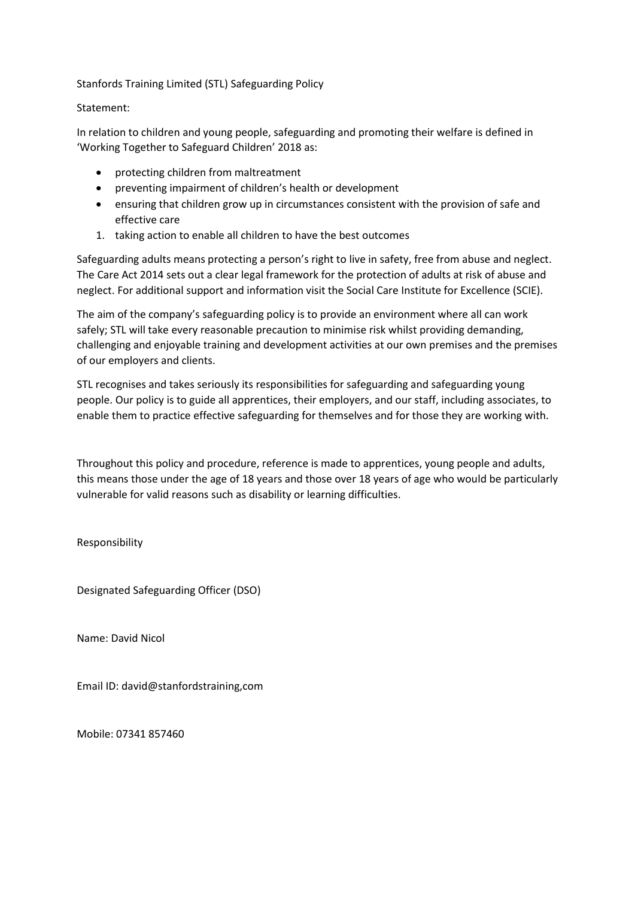Stanfords Training Limited (STL) Safeguarding Policy

## Statement:

In relation to children and young people, safeguarding and promoting their welfare is defined in 'Working Together to Safeguard Children' 2018 as:

- protecting children from maltreatment
- preventing impairment of children's health or development
- ensuring that children grow up in circumstances consistent with the provision of safe and effective care
- 1. taking action to enable all children to have the best outcomes

Safeguarding adults means protecting a person's right to live in safety, free from abuse and neglect. The Care Act 2014 sets out a clear legal framework for the protection of adults at risk of abuse and neglect. For additional support and information visit the Social Care Institute for Excellence (SCIE).

The aim of the company's safeguarding policy is to provide an environment where all can work safely; STL will take every reasonable precaution to minimise risk whilst providing demanding, challenging and enjoyable training and development activities at our own premises and the premises of our employers and clients.

STL recognises and takes seriously its responsibilities for safeguarding and safeguarding young people. Our policy is to guide all apprentices, their employers, and our staff, including associates, to enable them to practice effective safeguarding for themselves and for those they are working with.

Throughout this policy and procedure, reference is made to apprentices, young people and adults, this means those under the age of 18 years and those over 18 years of age who would be particularly vulnerable for valid reasons such as disability or learning difficulties.

Responsibility

Designated Safeguarding Officer (DSO)

Name: David Nicol

Email ID: david@stanfordstraining,com

Mobile: 07341 857460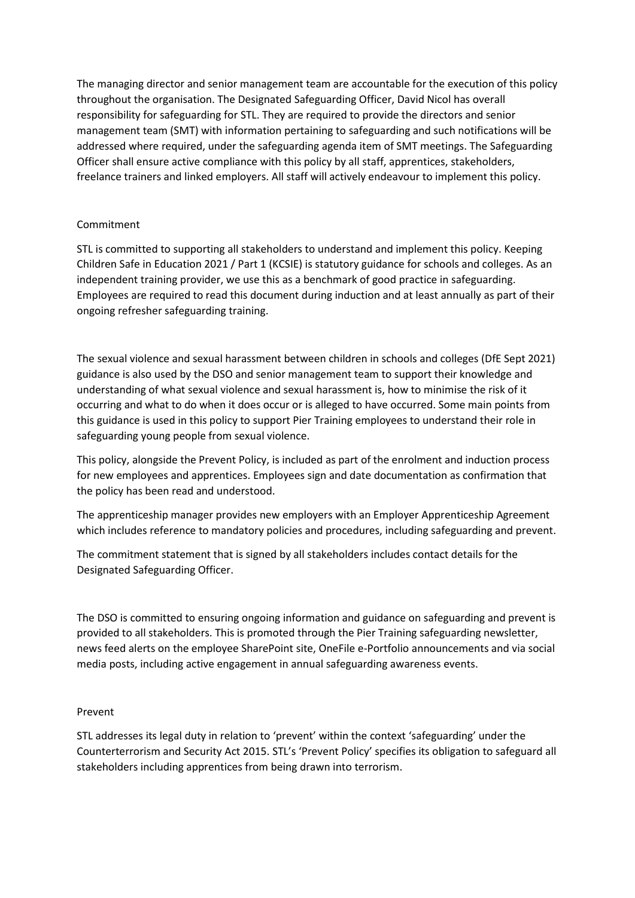The managing director and senior management team are accountable for the execution of this policy throughout the organisation. The Designated Safeguarding Officer, David Nicol has overall responsibility for safeguarding for STL. They are required to provide the directors and senior management team (SMT) with information pertaining to safeguarding and such notifications will be addressed where required, under the safeguarding agenda item of SMT meetings. The Safeguarding Officer shall ensure active compliance with this policy by all staff, apprentices, stakeholders, freelance trainers and linked employers. All staff will actively endeavour to implement this policy.

# Commitment

STL is committed to supporting all stakeholders to understand and implement this policy. Keeping Children Safe in Education 2021 / Part 1 (KCSIE) is statutory guidance for schools and colleges. As an independent training provider, we use this as a benchmark of good practice in safeguarding. Employees are required to read this document during induction and at least annually as part of their ongoing refresher safeguarding training.

The sexual violence and sexual harassment between children in schools and colleges (DfE Sept 2021) guidance is also used by the DSO and senior management team to support their knowledge and understanding of what sexual violence and sexual harassment is, how to minimise the risk of it occurring and what to do when it does occur or is alleged to have occurred. Some main points from this guidance is used in this policy to support Pier Training employees to understand their role in safeguarding young people from sexual violence.

This policy, alongside the Prevent Policy, is included as part of the enrolment and induction process for new employees and apprentices. Employees sign and date documentation as confirmation that the policy has been read and understood.

The apprenticeship manager provides new employers with an Employer Apprenticeship Agreement which includes reference to mandatory policies and procedures, including safeguarding and prevent.

The commitment statement that is signed by all stakeholders includes contact details for the Designated Safeguarding Officer.

The DSO is committed to ensuring ongoing information and guidance on safeguarding and prevent is provided to all stakeholders. This is promoted through the Pier Training safeguarding newsletter, news feed alerts on the employee SharePoint site, OneFile e-Portfolio announcements and via social media posts, including active engagement in annual safeguarding awareness events.

## Prevent

STL addresses its legal duty in relation to 'prevent' within the context 'safeguarding' under the Counterterrorism and Security Act 2015. STL's 'Prevent Policy' specifies its obligation to safeguard all stakeholders including apprentices from being drawn into terrorism.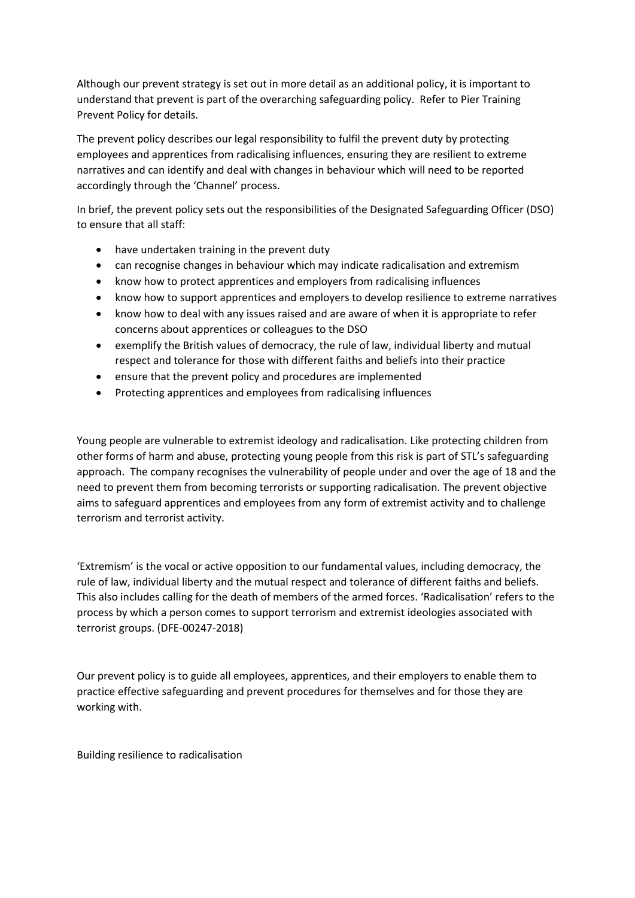Although our prevent strategy is set out in more detail as an additional policy, it is important to understand that prevent is part of the overarching safeguarding policy. Refer to Pier Training Prevent Policy for details.

The prevent policy describes our legal responsibility to fulfil the prevent duty by protecting employees and apprentices from radicalising influences, ensuring they are resilient to extreme narratives and can identify and deal with changes in behaviour which will need to be reported accordingly through the 'Channel' process.

In brief, the prevent policy sets out the responsibilities of the Designated Safeguarding Officer (DSO) to ensure that all staff:

- have undertaken training in the prevent duty
- can recognise changes in behaviour which may indicate radicalisation and extremism
- know how to protect apprentices and employers from radicalising influences
- know how to support apprentices and employers to develop resilience to extreme narratives
- know how to deal with any issues raised and are aware of when it is appropriate to refer concerns about apprentices or colleagues to the DSO
- exemplify the British values of democracy, the rule of law, individual liberty and mutual respect and tolerance for those with different faiths and beliefs into their practice
- ensure that the prevent policy and procedures are implemented
- Protecting apprentices and employees from radicalising influences

Young people are vulnerable to extremist ideology and radicalisation. Like protecting children from other forms of harm and abuse, protecting young people from this risk is part of STL's safeguarding approach. The company recognises the vulnerability of people under and over the age of 18 and the need to prevent them from becoming terrorists or supporting radicalisation. The prevent objective aims to safeguard apprentices and employees from any form of extremist activity and to challenge terrorism and terrorist activity.

'Extremism' is the vocal or active opposition to our fundamental values, including democracy, the rule of law, individual liberty and the mutual respect and tolerance of different faiths and beliefs. This also includes calling for the death of members of the armed forces. 'Radicalisation' refers to the process by which a person comes to support terrorism and extremist ideologies associated with terrorist groups. (DFE-00247-2018)

Our prevent policy is to guide all employees, apprentices, and their employers to enable them to practice effective safeguarding and prevent procedures for themselves and for those they are working with.

Building resilience to radicalisation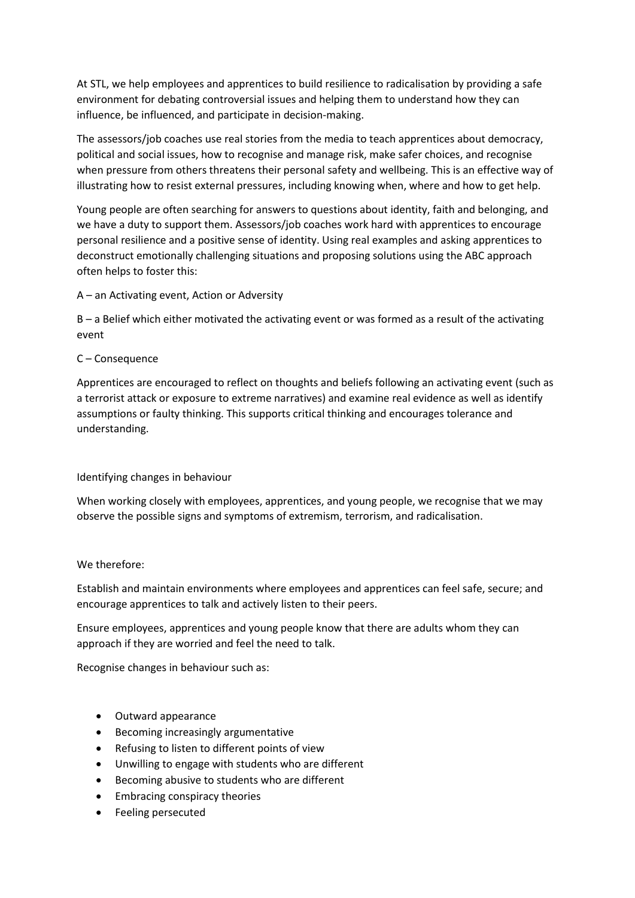At STL, we help employees and apprentices to build resilience to radicalisation by providing a safe environment for debating controversial issues and helping them to understand how they can influence, be influenced, and participate in decision-making.

The assessors/job coaches use real stories from the media to teach apprentices about democracy, political and social issues, how to recognise and manage risk, make safer choices, and recognise when pressure from others threatens their personal safety and wellbeing. This is an effective way of illustrating how to resist external pressures, including knowing when, where and how to get help.

Young people are often searching for answers to questions about identity, faith and belonging, and we have a duty to support them. Assessors/job coaches work hard with apprentices to encourage personal resilience and a positive sense of identity. Using real examples and asking apprentices to deconstruct emotionally challenging situations and proposing solutions using the ABC approach often helps to foster this:

A – an Activating event, Action or Adversity

B – a Belief which either motivated the activating event or was formed as a result of the activating event

# C – Consequence

Apprentices are encouraged to reflect on thoughts and beliefs following an activating event (such as a terrorist attack or exposure to extreme narratives) and examine real evidence as well as identify assumptions or faulty thinking. This supports critical thinking and encourages tolerance and understanding.

# Identifying changes in behaviour

When working closely with employees, apprentices, and young people, we recognise that we may observe the possible signs and symptoms of extremism, terrorism, and radicalisation.

## We therefore:

Establish and maintain environments where employees and apprentices can feel safe, secure; and encourage apprentices to talk and actively listen to their peers.

Ensure employees, apprentices and young people know that there are adults whom they can approach if they are worried and feel the need to talk.

Recognise changes in behaviour such as:

- Outward appearance
- Becoming increasingly argumentative
- Refusing to listen to different points of view
- Unwilling to engage with students who are different
- Becoming abusive to students who are different
- Embracing conspiracy theories
- Feeling persecuted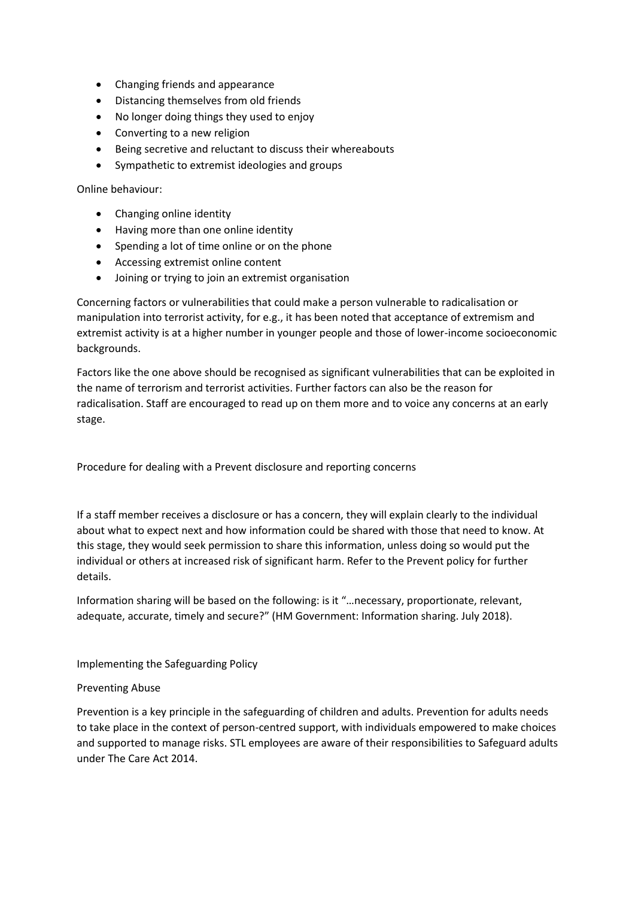- Changing friends and appearance
- Distancing themselves from old friends
- No longer doing things they used to enjoy
- Converting to a new religion
- Being secretive and reluctant to discuss their whereabouts
- Sympathetic to extremist ideologies and groups

Online behaviour:

- Changing online identity
- Having more than one online identity
- Spending a lot of time online or on the phone
- Accessing extremist online content
- Joining or trying to join an extremist organisation

Concerning factors or vulnerabilities that could make a person vulnerable to radicalisation or manipulation into terrorist activity, for e.g., it has been noted that acceptance of extremism and extremist activity is at a higher number in younger people and those of lower-income socioeconomic backgrounds.

Factors like the one above should be recognised as significant vulnerabilities that can be exploited in the name of terrorism and terrorist activities. Further factors can also be the reason for radicalisation. Staff are encouraged to read up on them more and to voice any concerns at an early stage.

Procedure for dealing with a Prevent disclosure and reporting concerns

If a staff member receives a disclosure or has a concern, they will explain clearly to the individual about what to expect next and how information could be shared with those that need to know. At this stage, they would seek permission to share this information, unless doing so would put the individual or others at increased risk of significant harm. Refer to the Prevent policy for further details.

Information sharing will be based on the following: is it "…necessary, proportionate, relevant, adequate, accurate, timely and secure?" (HM Government: Information sharing. July 2018).

Implementing the Safeguarding Policy

## Preventing Abuse

Prevention is a key principle in the safeguarding of children and adults. Prevention for adults needs to take place in the context of person-centred support, with individuals empowered to make choices and supported to manage risks. STL employees are aware of their responsibilities to Safeguard adults under The Care Act 2014.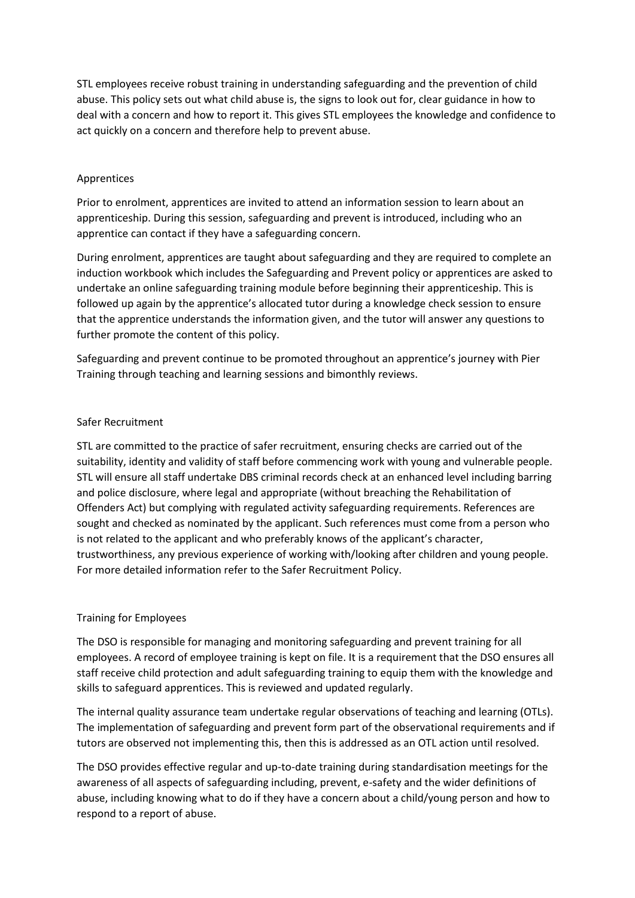STL employees receive robust training in understanding safeguarding and the prevention of child abuse. This policy sets out what child abuse is, the signs to look out for, clear guidance in how to deal with a concern and how to report it. This gives STL employees the knowledge and confidence to act quickly on a concern and therefore help to prevent abuse.

## Apprentices

Prior to enrolment, apprentices are invited to attend an information session to learn about an apprenticeship. During this session, safeguarding and prevent is introduced, including who an apprentice can contact if they have a safeguarding concern.

During enrolment, apprentices are taught about safeguarding and they are required to complete an induction workbook which includes the Safeguarding and Prevent policy or apprentices are asked to undertake an online safeguarding training module before beginning their apprenticeship. This is followed up again by the apprentice's allocated tutor during a knowledge check session to ensure that the apprentice understands the information given, and the tutor will answer any questions to further promote the content of this policy.

Safeguarding and prevent continue to be promoted throughout an apprentice's journey with Pier Training through teaching and learning sessions and bimonthly reviews.

# Safer Recruitment

STL are committed to the practice of safer recruitment, ensuring checks are carried out of the suitability, identity and validity of staff before commencing work with young and vulnerable people. STL will ensure all staff undertake DBS criminal records check at an enhanced level including barring and police disclosure, where legal and appropriate (without breaching the Rehabilitation of Offenders Act) but complying with regulated activity safeguarding requirements. References are sought and checked as nominated by the applicant. Such references must come from a person who is not related to the applicant and who preferably knows of the applicant's character, trustworthiness, any previous experience of working with/looking after children and young people. For more detailed information refer to the Safer Recruitment Policy.

# Training for Employees

The DSO is responsible for managing and monitoring safeguarding and prevent training for all employees. A record of employee training is kept on file. It is a requirement that the DSO ensures all staff receive child protection and adult safeguarding training to equip them with the knowledge and skills to safeguard apprentices. This is reviewed and updated regularly.

The internal quality assurance team undertake regular observations of teaching and learning (OTLs). The implementation of safeguarding and prevent form part of the observational requirements and if tutors are observed not implementing this, then this is addressed as an OTL action until resolved.

The DSO provides effective regular and up-to-date training during standardisation meetings for the awareness of all aspects of safeguarding including, prevent, e-safety and the wider definitions of abuse, including knowing what to do if they have a concern about a child/young person and how to respond to a report of abuse.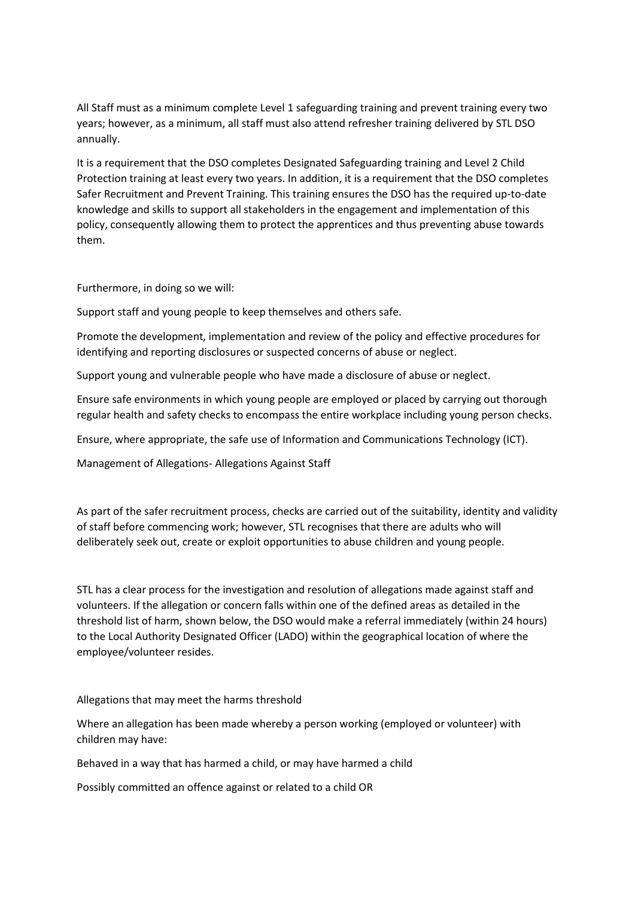All Staff must as a minimum complete Level 1 safeguarding training and prevent training every two years; however, as a minimum, all staff must also attend refresher training delivered by STL DSO annually.

It is a requirement that the DSO completes Designated Safeguarding training and Level 2 Child Protection training at least every two years. In addition, it is a requirement that the DSO completes Safer Recruitment and Prevent Training. This training ensures the DSO has the required up-to-date knowledge and skills to support all stakeholders in the engagement and implementation of this policy, consequently allowing them to protect the apprentices and thus preventing abuse towards them.

Furthermore, in doing so we will:

Support staff and young people to keep themselves and others safe.

Promote the development, implementation and review of the policy and effective procedures for identifying and reporting disclosures or suspected concerns of abuse or neglect.

Support young and vulnerable people who have made a disclosure of abuse or neglect.

Ensure safe environments in which young people are employed or placed by carrying out thorough regular health and safety checks to encompass the entire workplace including young person checks.

Ensure, where appropriate, the safe use of Information and Communications Technology (ICT).

Management of Allegations- Allegations Against Staff

As part of the safer recruitment process, checks are carried out of the suitability, identity and validity of staff before commencing work; however, STL recognises that there are adults who will deliberately seek out, create or exploit opportunities to abuse children and young people.

STL has a clear process for the investigation and resolution of allegations made against staff and volunteers. If the allegation or concern falls within one of the defined areas as detailed in the threshold list of harm, shown below, the DSO would make a referral immediately (within 24 hours) to the Local Authority Designated Officer (LADO) within the geographical location of where the employee/volunteer resides.

Allegations that may meet the harms threshold

Where an allegation has been made whereby a person working (employed or volunteer) with children may have:

Behaved in a way that has harmed a child, or may have harmed a child

Possibly committed an offence against or related to a child OR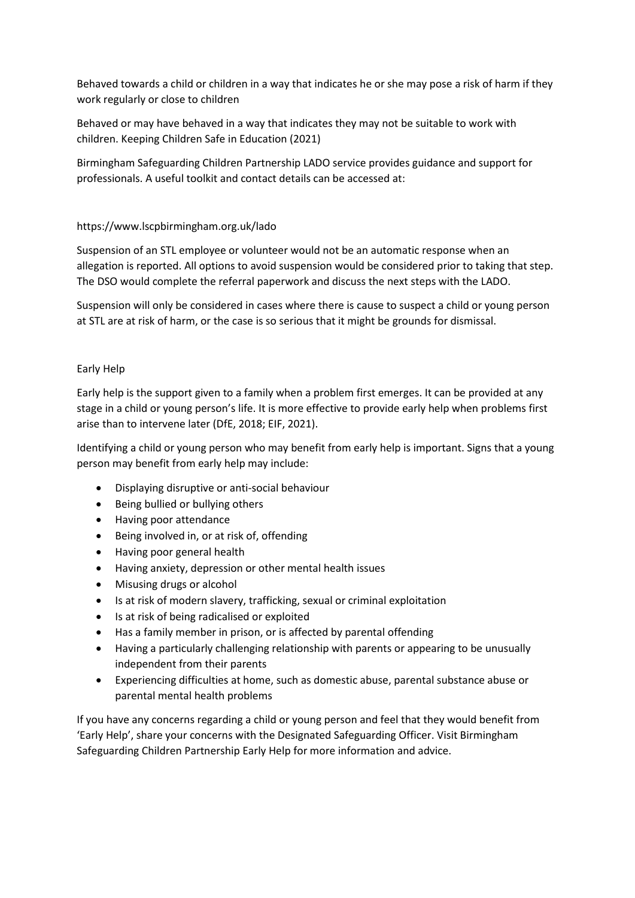Behaved towards a child or children in a way that indicates he or she may pose a risk of harm if they work regularly or close to children

Behaved or may have behaved in a way that indicates they may not be suitable to work with children. Keeping Children Safe in Education (2021)

Birmingham Safeguarding Children Partnership LADO service provides guidance and support for professionals. A useful toolkit and contact details can be accessed at:

# https://www.lscpbirmingham.org.uk/lado

Suspension of an STL employee or volunteer would not be an automatic response when an allegation is reported. All options to avoid suspension would be considered prior to taking that step. The DSO would complete the referral paperwork and discuss the next steps with the LADO.

Suspension will only be considered in cases where there is cause to suspect a child or young person at STL are at risk of harm, or the case is so serious that it might be grounds for dismissal.

## Early Help

Early help is the support given to a family when a problem first emerges. It can be provided at any stage in a child or young person's life. It is more effective to provide early help when problems first arise than to intervene later (DfE, 2018; EIF, 2021).

Identifying a child or young person who may benefit from early help is important. Signs that a young person may benefit from early help may include:

- Displaying disruptive or anti-social behaviour
- Being bullied or bullying others
- Having poor attendance
- Being involved in, or at risk of, offending
- Having poor general health
- Having anxiety, depression or other mental health issues
- Misusing drugs or alcohol
- Is at risk of modern slavery, trafficking, sexual or criminal exploitation
- Is at risk of being radicalised or exploited
- Has a family member in prison, or is affected by parental offending
- Having a particularly challenging relationship with parents or appearing to be unusually independent from their parents
- Experiencing difficulties at home, such as domestic abuse, parental substance abuse or parental mental health problems

If you have any concerns regarding a child or young person and feel that they would benefit from 'Early Help', share your concerns with the Designated Safeguarding Officer. Visit Birmingham Safeguarding Children Partnership Early Help for more information and advice.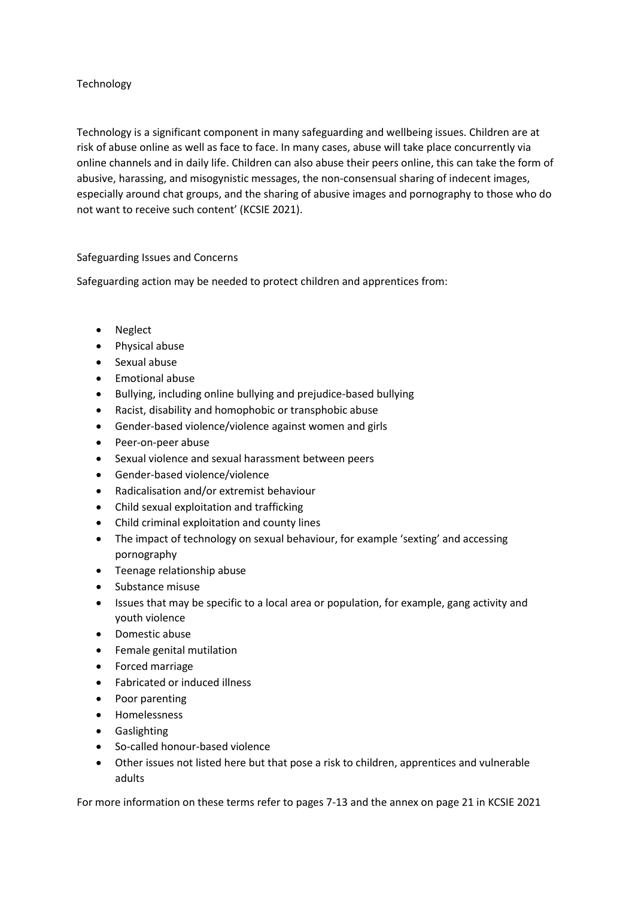# Technology

Technology is a significant component in many safeguarding and wellbeing issues. Children are at risk of abuse online as well as face to face. In many cases, abuse will take place concurrently via online channels and in daily life. Children can also abuse their peers online, this can take the form of abusive, harassing, and misogynistic messages, the non-consensual sharing of indecent images, especially around chat groups, and the sharing of abusive images and pornography to those who do not want to receive such content' (KCSIE 2021).

# Safeguarding Issues and Concerns

Safeguarding action may be needed to protect children and apprentices from:

- Neglect
- Physical abuse
- Sexual abuse
- Emotional abuse
- Bullying, including online bullying and prejudice-based bullying
- Racist, disability and homophobic or transphobic abuse
- Gender-based violence/violence against women and girls
- Peer-on-peer abuse
- Sexual violence and sexual harassment between peers
- Gender-based violence/violence
- Radicalisation and/or extremist behaviour
- Child sexual exploitation and trafficking
- Child criminal exploitation and county lines
- The impact of technology on sexual behaviour, for example 'sexting' and accessing pornography
- Teenage relationship abuse
- Substance misuse
- Issues that may be specific to a local area or population, for example, gang activity and youth violence
- Domestic abuse
- Female genital mutilation
- Forced marriage
- Fabricated or induced illness
- Poor parenting
- Homelessness
- Gaslighting
- So-called honour-based violence
- Other issues not listed here but that pose a risk to children, apprentices and vulnerable adults

For more information on these terms refer to pages 7-13 and the annex on page 21 in KCSIE 2021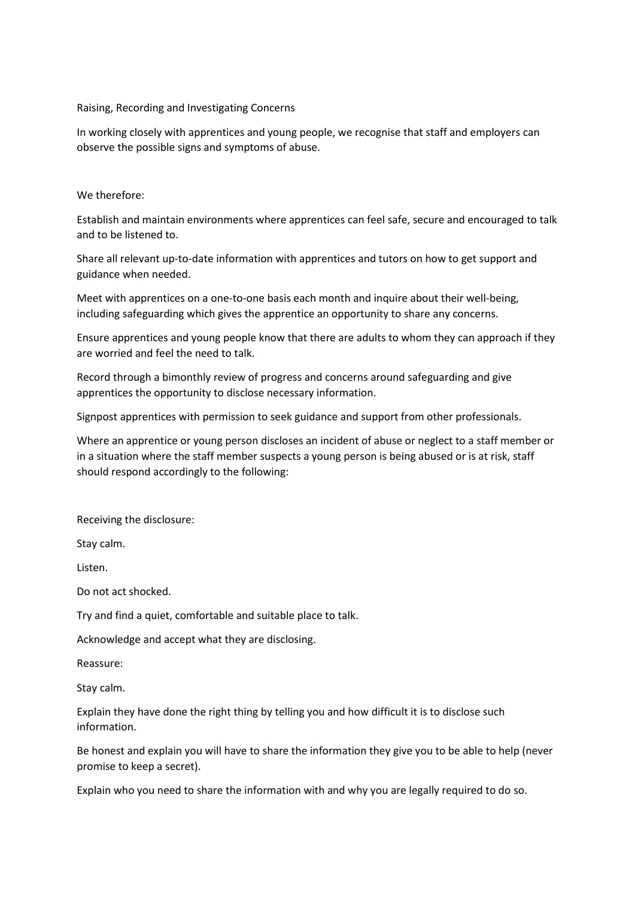#### Raising, Recording and Investigating Concerns

In working closely with apprentices and young people, we recognise that staff and employers can observe the possible signs and symptoms of abuse.

#### We therefore:

Establish and maintain environments where apprentices can feel safe, secure and encouraged to talk and to be listened to.

Share all relevant up-to-date information with apprentices and tutors on how to get support and guidance when needed.

Meet with apprentices on a one-to-one basis each month and inquire about their well-being, including safeguarding which gives the apprentice an opportunity to share any concerns.

Ensure apprentices and young people know that there are adults to whom they can approach if they are worried and feel the need to talk.

Record through a bimonthly review of progress and concerns around safeguarding and give apprentices the opportunity to disclose necessary information.

Signpost apprentices with permission to seek guidance and support from other professionals.

Where an apprentice or young person discloses an incident of abuse or neglect to a staff member or in a situation where the staff member suspects a young person is being abused or is at risk, staff should respond accordingly to the following:

Receiving the disclosure:

Stay calm.

Listen.

Do not act shocked.

Try and find a quiet, comfortable and suitable place to talk.

Acknowledge and accept what they are disclosing.

Reassure:

Stay calm.

Explain they have done the right thing by telling you and how difficult it is to disclose such information.

Be honest and explain you will have to share the information they give you to be able to help (never promise to keep a secret).

Explain who you need to share the information with and why you are legally required to do so.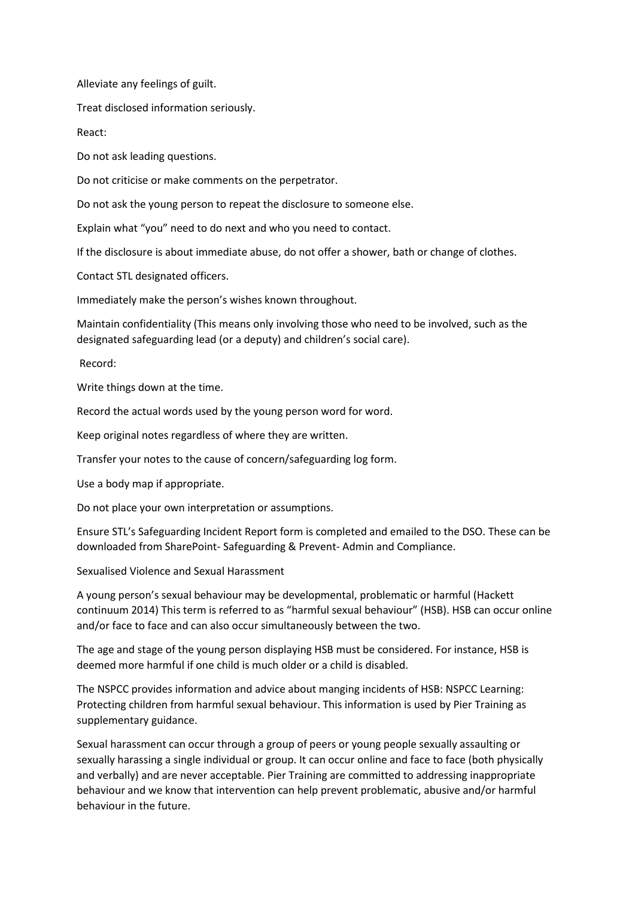Alleviate any feelings of guilt.

Treat disclosed information seriously.

React:

Do not ask leading questions.

Do not criticise or make comments on the perpetrator.

Do not ask the young person to repeat the disclosure to someone else.

Explain what "you" need to do next and who you need to contact.

If the disclosure is about immediate abuse, do not offer a shower, bath or change of clothes.

Contact STL designated officers.

Immediately make the person's wishes known throughout.

Maintain confidentiality (This means only involving those who need to be involved, such as the designated safeguarding lead (or a deputy) and children's social care).

Record:

Write things down at the time.

Record the actual words used by the young person word for word.

Keep original notes regardless of where they are written.

Transfer your notes to the cause of concern/safeguarding log form.

Use a body map if appropriate.

Do not place your own interpretation or assumptions.

Ensure STL's Safeguarding Incident Report form is completed and emailed to the DSO. These can be downloaded from SharePoint- Safeguarding & Prevent- Admin and Compliance.

Sexualised Violence and Sexual Harassment

A young person's sexual behaviour may be developmental, problematic or harmful (Hackett continuum 2014) This term is referred to as "harmful sexual behaviour" (HSB). HSB can occur online and/or face to face and can also occur simultaneously between the two.

The age and stage of the young person displaying HSB must be considered. For instance, HSB is deemed more harmful if one child is much older or a child is disabled.

The NSPCC provides information and advice about manging incidents of HSB: NSPCC Learning: Protecting children from harmful sexual behaviour. This information is used by Pier Training as supplementary guidance.

Sexual harassment can occur through a group of peers or young people sexually assaulting or sexually harassing a single individual or group. It can occur online and face to face (both physically and verbally) and are never acceptable. Pier Training are committed to addressing inappropriate behaviour and we know that intervention can help prevent problematic, abusive and/or harmful behaviour in the future.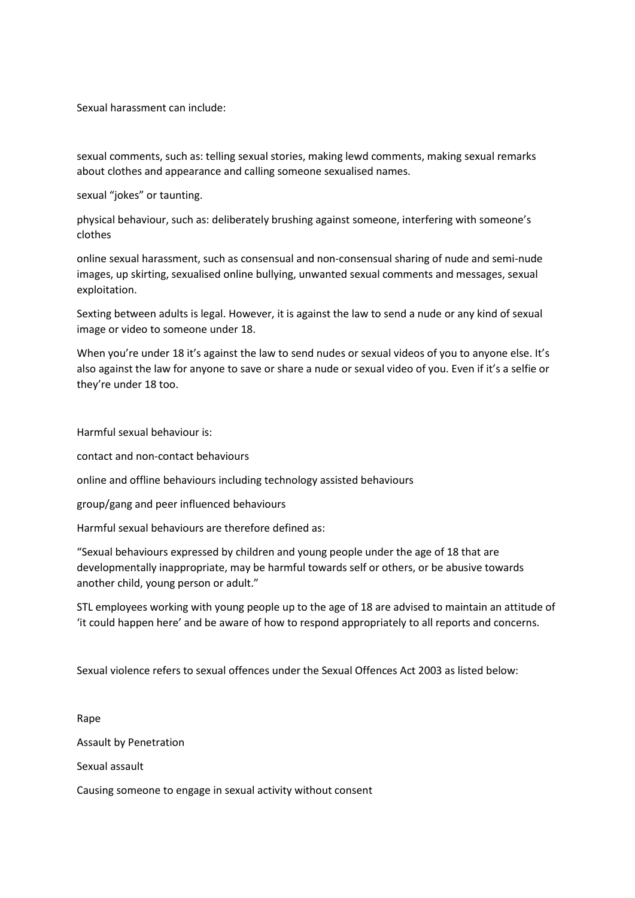Sexual harassment can include:

sexual comments, such as: telling sexual stories, making lewd comments, making sexual remarks about clothes and appearance and calling someone sexualised names.

sexual "jokes" or taunting.

physical behaviour, such as: deliberately brushing against someone, interfering with someone's clothes

online sexual harassment, such as consensual and non-consensual sharing of nude and semi-nude images, up skirting, sexualised online bullying, unwanted sexual comments and messages, sexual exploitation.

Sexting between adults is legal. However, it is against the law to send a nude or any kind of sexual image or video to someone under 18.

When you're under 18 it's against the law to send nudes or sexual videos of you to anyone else. It's also against the law for anyone to save or share a nude or sexual video of you. Even if it's a selfie or they're under 18 too.

Harmful sexual behaviour is:

contact and non-contact behaviours

online and offline behaviours including technology assisted behaviours

group/gang and peer influenced behaviours

Harmful sexual behaviours are therefore defined as:

"Sexual behaviours expressed by children and young people under the age of 18 that are developmentally inappropriate, may be harmful towards self or others, or be abusive towards another child, young person or adult."

STL employees working with young people up to the age of 18 are advised to maintain an attitude of 'it could happen here' and be aware of how to respond appropriately to all reports and concerns.

Sexual violence refers to sexual offences under the Sexual Offences Act 2003 as listed below:

Rape Assault by Penetration Sexual assault

Causing someone to engage in sexual activity without consent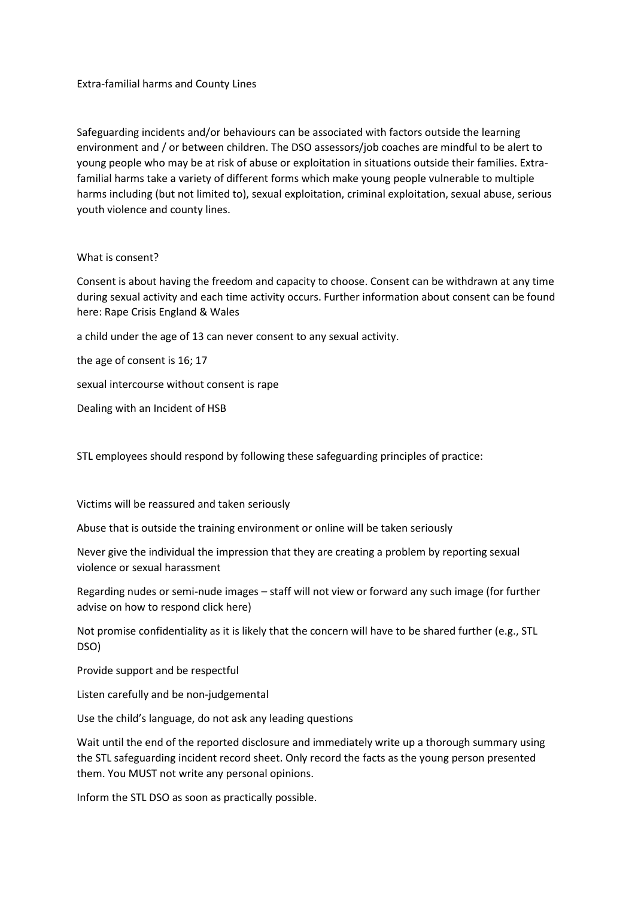Extra-familial harms and County Lines

Safeguarding incidents and/or behaviours can be associated with factors outside the learning environment and / or between children. The DSO assessors/job coaches are mindful to be alert to young people who may be at risk of abuse or exploitation in situations outside their families. Extrafamilial harms take a variety of different forms which make young people vulnerable to multiple harms including (but not limited to), sexual exploitation, criminal exploitation, sexual abuse, serious youth violence and county lines.

#### What is consent?

Consent is about having the freedom and capacity to choose. Consent can be withdrawn at any time during sexual activity and each time activity occurs. Further information about consent can be found here: Rape Crisis England & Wales

a child under the age of 13 can never consent to any sexual activity.

the age of consent is 16; 17

sexual intercourse without consent is rape

Dealing with an Incident of HSB

STL employees should respond by following these safeguarding principles of practice:

Victims will be reassured and taken seriously

Abuse that is outside the training environment or online will be taken seriously

Never give the individual the impression that they are creating a problem by reporting sexual violence or sexual harassment

Regarding nudes or semi-nude images – staff will not view or forward any such image (for further advise on how to respond click here)

Not promise confidentiality as it is likely that the concern will have to be shared further (e.g., STL DSO)

Provide support and be respectful

Listen carefully and be non-judgemental

Use the child's language, do not ask any leading questions

Wait until the end of the reported disclosure and immediately write up a thorough summary using the STL safeguarding incident record sheet. Only record the facts as the young person presented them. You MUST not write any personal opinions.

Inform the STL DSO as soon as practically possible.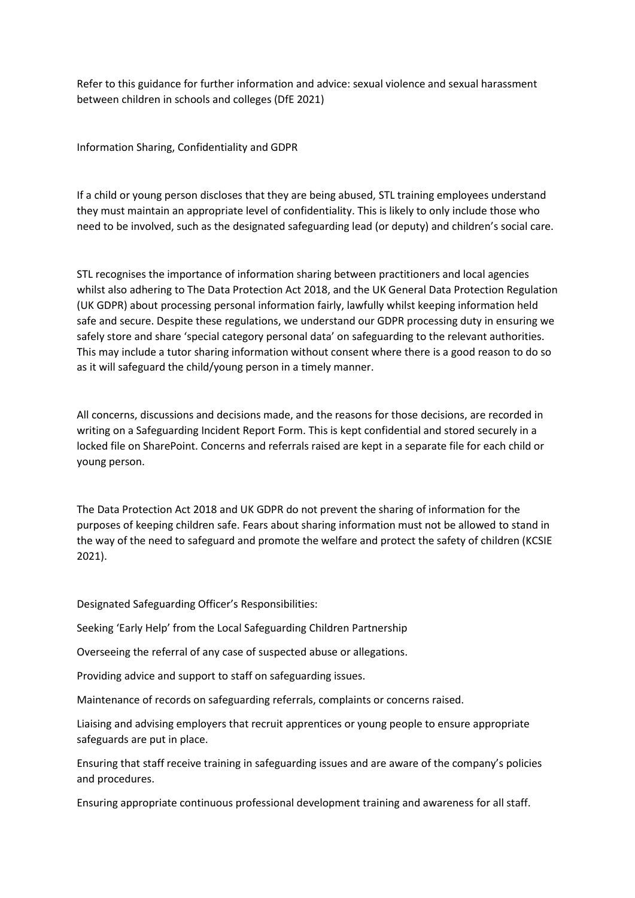Refer to this guidance for further information and advice: sexual violence and sexual harassment between children in schools and colleges (DfE 2021)

Information Sharing, Confidentiality and GDPR

If a child or young person discloses that they are being abused, STL training employees understand they must maintain an appropriate level of confidentiality. This is likely to only include those who need to be involved, such as the designated safeguarding lead (or deputy) and children's social care.

STL recognises the importance of information sharing between practitioners and local agencies whilst also adhering to The Data Protection Act 2018, and the UK General Data Protection Regulation (UK GDPR) about processing personal information fairly, lawfully whilst keeping information held safe and secure. Despite these regulations, we understand our GDPR processing duty in ensuring we safely store and share 'special category personal data' on safeguarding to the relevant authorities. This may include a tutor sharing information without consent where there is a good reason to do so as it will safeguard the child/young person in a timely manner.

All concerns, discussions and decisions made, and the reasons for those decisions, are recorded in writing on a Safeguarding Incident Report Form. This is kept confidential and stored securely in a locked file on SharePoint. Concerns and referrals raised are kept in a separate file for each child or young person.

The Data Protection Act 2018 and UK GDPR do not prevent the sharing of information for the purposes of keeping children safe. Fears about sharing information must not be allowed to stand in the way of the need to safeguard and promote the welfare and protect the safety of children (KCSIE 2021).

Designated Safeguarding Officer's Responsibilities:

Seeking 'Early Help' from the Local Safeguarding Children Partnership

Overseeing the referral of any case of suspected abuse or allegations.

Providing advice and support to staff on safeguarding issues.

Maintenance of records on safeguarding referrals, complaints or concerns raised.

Liaising and advising employers that recruit apprentices or young people to ensure appropriate safeguards are put in place.

Ensuring that staff receive training in safeguarding issues and are aware of the company's policies and procedures.

Ensuring appropriate continuous professional development training and awareness for all staff.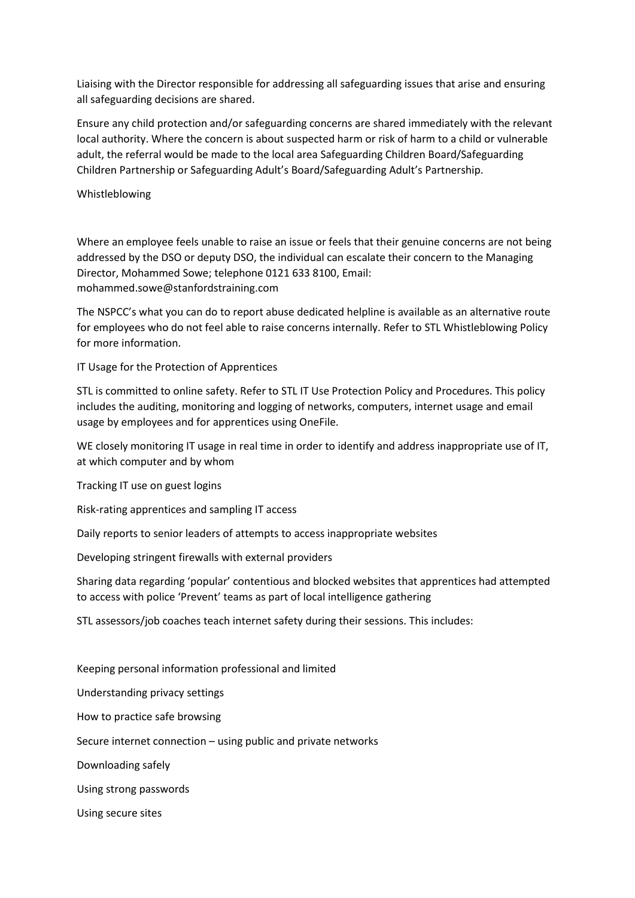Liaising with the Director responsible for addressing all safeguarding issues that arise and ensuring all safeguarding decisions are shared.

Ensure any child protection and/or safeguarding concerns are shared immediately with the relevant local authority. Where the concern is about suspected harm or risk of harm to a child or vulnerable adult, the referral would be made to the local area Safeguarding Children Board/Safeguarding Children Partnership or Safeguarding Adult's Board/Safeguarding Adult's Partnership.

Whistleblowing

Where an employee feels unable to raise an issue or feels that their genuine concerns are not being addressed by the DSO or deputy DSO, the individual can escalate their concern to the Managing Director, Mohammed Sowe; telephone 0121 633 8100, Email: mohammed.sowe@stanfordstraining.com

The NSPCC's what you can do to report abuse dedicated helpline is available as an alternative route for employees who do not feel able to raise concerns internally. Refer to STL Whistleblowing Policy for more information.

IT Usage for the Protection of Apprentices

STL is committed to online safety. Refer to STL IT Use Protection Policy and Procedures. This policy includes the auditing, monitoring and logging of networks, computers, internet usage and email usage by employees and for apprentices using OneFile.

WE closely monitoring IT usage in real time in order to identify and address inappropriate use of IT, at which computer and by whom

Tracking IT use on guest logins

Risk-rating apprentices and sampling IT access

Daily reports to senior leaders of attempts to access inappropriate websites

Developing stringent firewalls with external providers

Sharing data regarding 'popular' contentious and blocked websites that apprentices had attempted to access with police 'Prevent' teams as part of local intelligence gathering

STL assessors/job coaches teach internet safety during their sessions. This includes:

Keeping personal information professional and limited Understanding privacy settings How to practice safe browsing Secure internet connection – using public and private networks Downloading safely Using strong passwords Using secure sites